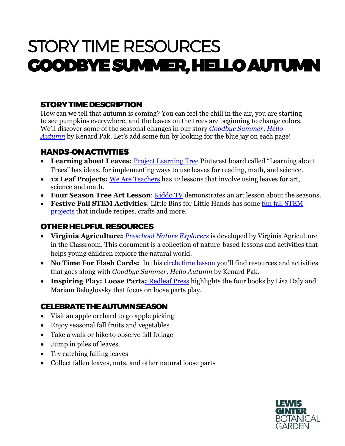# STORY TIME RESOURCES GOODBYE SUMMER, HELLO AUTUMN

## STORY TIME DESCRIPTION

How can we tell that autumn is coming? You can feel the chill in the air, you are starting to see pumpkins everywhere, and the leaves on the trees are beginning to change colors. We'll discover some of the seasonal changes in our story *[Goodbye Summer, Hello](https://www.amazon.com/Goodbye-Summer-Hello-Autumn-Kenard/dp/1627794158/ref=as_li_ss_tl?crid=2ZPVBFUDQM5B8&dchild=1&keywords=goodbye+summer+hello+autumn&qid=1597869525&sprefix=goodbye+summer+,aps,355&sr=8-1&linkCode=sl1&tag=notifoflca-20&linkId=ea407f40b8a15391e6367a914fc64879&language=en_US)  [Autumn](https://www.amazon.com/Goodbye-Summer-Hello-Autumn-Kenard/dp/1627794158/ref=as_li_ss_tl?crid=2ZPVBFUDQM5B8&dchild=1&keywords=goodbye+summer+hello+autumn&qid=1597869525&sprefix=goodbye+summer+,aps,355&sr=8-1&linkCode=sl1&tag=notifoflca-20&linkId=ea407f40b8a15391e6367a914fc64879&language=en_US)* by Kenard Pak. Let's add some fun by looking for the blue jay on each page!

### HANDS-ON ACTIVITIES

- **Learning about Leaves:** [Project Learning Tree](https://www.pinterest.com/nationalplt/learning-about-leaves/) Pinterest board called "Learning about Trees" has ideas, for implementing ways to use leaves for reading, math, and science.
- **12 Leaf Projects:** [We Are Teachers](https://www.weareteachers.com/leaf-projects-for-the-classroom/) has 12 lessons that involve using leaves for art, science and math.
- **Four Season Tree Art Lesson**: [Kiddo TV](https://www.youtube.com/watch?v=3eqb99XjrK0) demonstrates an art lesson about the seasons.
- **Festive Fall STEM Activities**: Little Bins for Little Hands has some [fun fall STEM](https://littlebinsforlittlehands.com/fall-stem-activities/)  [projects](https://littlebinsforlittlehands.com/fall-stem-activities/) that include recipes, crafts and more.

# OTHER HELPFUL RESOURCES

- **Virginia Agriculture:** *[Preschool Nature Explorers](https://agclassroom.org/va/teachers/lesson_subject/nature.pdf)* is developed by Virginia Agriculture in the Classroom. This document is a collection of nature-based lessons and activities that helps young children explore the natural world.
- No Time For Flash Cards: In this [circle time lesson](https://www.notimeforflashcards.com/2020/08/fall-circle-time-lesson-for-in-person-or-virtual-preschool.html) you'll find resources and activities that goes along with *Goodbye Summer, Hello Autumn* by Kenard Pak.
- **Inspiring Play: Loose Parts: [Redleaf Press](https://www.redleafpress.org/loose-parts.aspx?gclid=EAIaIQobChMIo7uj56vN6wIVQuG1Ch1iiwNOEAAYASAAEgL66fD_BwE) highlights the four books by Lisa Daly and** Mariam Beloglovsky that focus on loose parts play.

#### CELEBRATE THE AUTUMN SEASON

- Visit an apple orchard to go apple picking
- Enjoy seasonal fall fruits and vegetables
- Take a walk or hike to observe fall foliage
- Jump in piles of leaves
- Try catching falling leaves
- Collect fallen leaves, nuts, and other natural loose parts